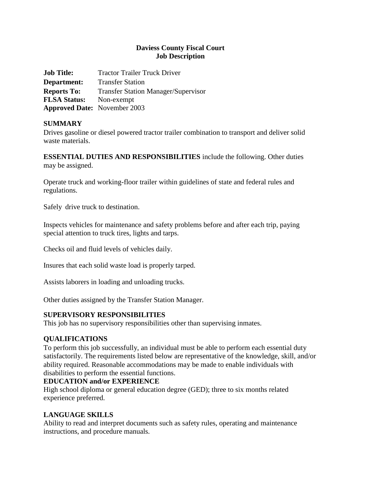### **Daviess County Fiscal Court Job Description**

| <b>Job Title:</b>                   | <b>Tractor Trailer Truck Driver</b>        |
|-------------------------------------|--------------------------------------------|
| Department:                         | <b>Transfer Station</b>                    |
| <b>Reports To:</b>                  | <b>Transfer Station Manager/Supervisor</b> |
| <b>FLSA Status:</b>                 | Non-exempt                                 |
| <b>Approved Date:</b> November 2003 |                                            |

### **SUMMARY**

Drives gasoline or diesel powered tractor trailer combination to transport and deliver solid waste materials.

**ESSENTIAL DUTIES AND RESPONSIBILITIES** include the following. Other duties may be assigned.

Operate truck and working-floor trailer within guidelines of state and federal rules and regulations.

Safely drive truck to destination.

Inspects vehicles for maintenance and safety problems before and after each trip, paying special attention to truck tires, lights and tarps.

Checks oil and fluid levels of vehicles daily.

Insures that each solid waste load is properly tarped.

Assists laborers in loading and unloading trucks.

Other duties assigned by the Transfer Station Manager.

#### **SUPERVISORY RESPONSIBILITIES**

This job has no supervisory responsibilities other than supervising inmates.

# **QUALIFICATIONS**

To perform this job successfully, an individual must be able to perform each essential duty satisfactorily. The requirements listed below are representative of the knowledge, skill, and/or ability required. Reasonable accommodations may be made to enable individuals with disabilities to perform the essential functions.

#### **EDUCATION and/or EXPERIENCE**

High school diploma or general education degree (GED); three to six months related experience preferred.

# **LANGUAGE SKILLS**

Ability to read and interpret documents such as safety rules, operating and maintenance instructions, and procedure manuals.